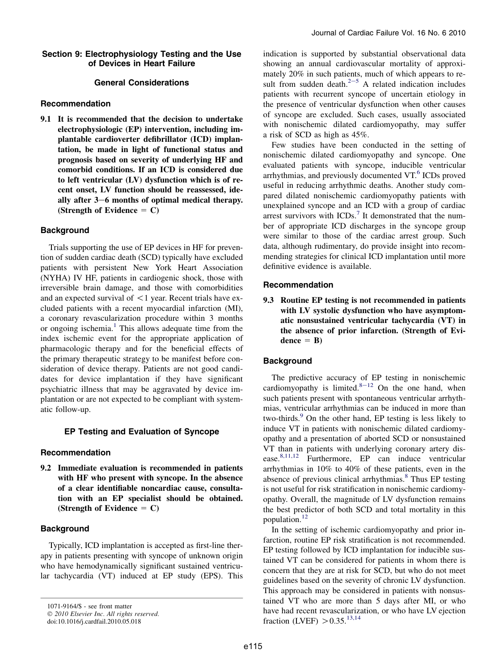# Section 9: Electrophysiology Testing and the Use of Devices in Heart Failure

# General Considerations

# Recommendation

9.1 It is recommended that the decision to undertake electrophysiologic (EP) intervention, including implantable cardioverter defibrillator (ICD) implantation, be made in light of functional status and prognosis based on severity of underlying HF and comorbid conditions. If an ICD is considered due to left ventricular (LV) dysfunction which is of recent onset, LV function should be reassessed, ideally after  $3-6$  months of optimal medical therapy. (Strength of Evidence  $= C$ )

# **Background**

Trials supporting the use of EP devices in HF for prevention of sudden cardiac death (SCD) typically have excluded patients with persistent New York Heart Association (NYHA) IV HF, patients in cardiogenic shock, those with irreversible brain damage, and those with comorbidities and an expected survival of  $\leq 1$  year. Recent trials have excluded patients with a recent myocardial infarction (MI), a coronary revascularization procedure within 3 months or ongoing ischemia.<sup>[1](#page-5-0)</sup> This allows adequate time from the index ischemic event for the appropriate application of pharmacologic therapy and for the beneficial effects of the primary therapeutic strategy to be manifest before consideration of device therapy. Patients are not good candidates for device implantation if they have significant psychiatric illness that may be aggravated by device implantation or are not expected to be compliant with systematic follow-up.

# EP Testing and Evaluation of Syncope

# Recommendation

9.2 Immediate evaluation is recommended in patients with HF who present with syncope. In the absence of a clear identifiable noncardiac cause, consultation with an EP specialist should be obtained. (Strength of Evidence  $= C$ )

# **Background**

Typically, ICD implantation is accepted as first-line therapy in patients presenting with syncope of unknown origin who have hemodynamically significant sustained ventricular tachycardia (VT) induced at EP study (EPS). This

1071-9164/\$ - see front matter

© 2010 Elsevier Inc. All rights reserved.

doi:10.1016/j.cardfail.2010.05.018

indication is supported by substantial observational data showing an annual cardiovascular mortality of approximately 20% in such patients, much of which appears to result from sudd[e](#page-5-0)n death. $2-5$  A related indication includes patients with recurrent syncope of uncertain etiology in the presence of ventricular dysfunction when other causes of syncope are excluded. Such cases, usually associated with nonischemic dilated cardiomyopathy, may suffer a risk of SCD as high as 45%.

Few studies have been conducted in the setting of nonischemic dilated cardiomyopathy and syncope. One evaluated patients with syncope, inducible ventricular arrhythmias, and previously documented VT.<sup>[6](#page-5-0)</sup> ICDs proved useful in reducing arrhythmic deaths. Another study compared dilated nonischemic cardiomyopathy patients with unexplained syncope and an ICD with a group of cardiac arrest survivors with  $ICDs<sup>7</sup>$  $ICDs<sup>7</sup>$  $ICDs<sup>7</sup>$  It demonstrated that the number of appropriate ICD discharges in the syncope group were similar to those of the cardiac arrest group. Such data, although rudimentary, do provide insight into recommending strategies for clinical ICD implantation until more definitive evidence is available.

# Recommendation

9.3 Routine EP testing is not recommended in patients with LV systolic dysfunction who have asymptomatic nonsustained ventricular tachycardia (VT) in the absence of prior infarction. (Strength of Evi $dence = B$ )

#### **Background**

The predictive accuracy of EP testing in nonischemic cardiomyopathy is limited. $8-12$  $8-12$  On the one hand, when such patients present with spontaneous ventricular arrhythmias, ventricular arrhythmias can be induced in more than two-thirds.<sup>[9](#page-5-0)</sup> On the other hand, EP testing is less likely to induce VT in patients with nonischemic dilated cardiomyopathy and a presentation of aborted SCD or nonsustained VT than in patients with underlying coronary artery dis-ease.<sup>[8,11,12](#page-5-0)</sup> Furthermore, EP can induce ventricular arrhythmias in 10% to 40% of these patients, even in the absence of previous clinical arrhythmias.<sup>[8](#page-5-0)</sup> Thus EP testing is not useful for risk stratification in nonischemic cardiomyopathy. Overall, the magnitude of LV dysfunction remains the best predictor of both SCD and total mortality in this population.[12](#page-5-0)

In the setting of ischemic cardiomyopathy and prior infarction, routine EP risk stratification is not recommended. EP testing followed by ICD implantation for inducible sustained VT can be considered for patients in whom there is concern that they are at risk for SCD, but who do not meet guidelines based on the severity of chronic LV dysfunction. This approach may be considered in patients with nonsustained VT who are more than 5 days after MI, or who have had recent revascularization, or who have LV ejection fraction (LVEF)  $> 0.35^{13,14}$  $> 0.35^{13,14}$  $> 0.35^{13,14}$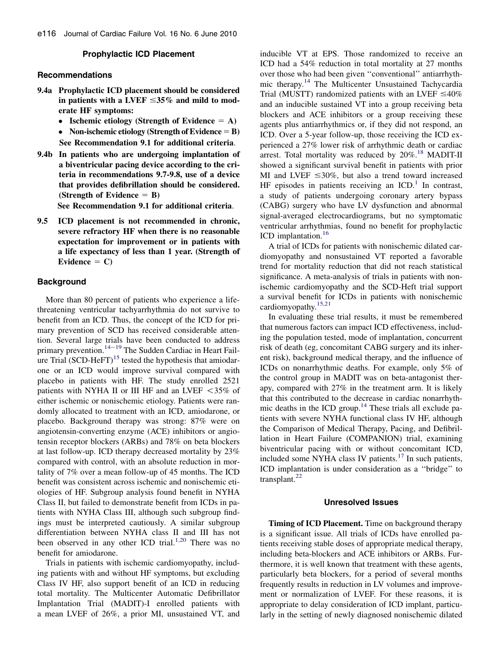## Prophylactic ICD Placement

### Recommendations

- 9.4a Prophylactic ICD placement should be considered in patients with a LVEF  $\leq$ 35% and mild to moderate HF symptoms:
	- Ischemic etiology (Strength of Evidence  $= A$ )
	- Non-ischemic etiology (Strength of Evidence  $=$  B) See Recommendation 9.1 for additional criteria.
- 9.4b In patients who are undergoing implantation of a biventricular pacing device according to the criteria in recommendations 9.7-9.8, use of a device that provides defibrillation should be considered. (Strength of Evidence  $=$  B)

See Recommendation 9.1 for additional criteria.

9.5 ICD placement is not recommended in chronic, severe refractory HF when there is no reasonable expectation for improvement or in patients with a life expectancy of less than 1 year. (Strength of Evidence  $= C$ )

## **Background**

More than 80 percent of patients who experience a lifethreatening ventricular tachyarrhythmia do not survive to benefit from an ICD. Thus, the concept of the ICD for primary prevention of SCD has received considerable attention. Several large trials have been conducted to address primary prevention.<sup>14-19</sup> The Sudden Cardiac in Heart Failure Trial  $(SCD-HeFT)^{15}$  $(SCD-HeFT)^{15}$  $(SCD-HeFT)^{15}$  tested the hypothesis that amiodarone or an ICD would improve survival compared with placebo in patients with HF. The study enrolled 2521 patients with NYHA II or III HF and an LVEF  $\langle 35\% \rangle$  of either ischemic or nonischemic etiology. Patients were randomly allocated to treatment with an ICD, amiodarone, or placebo. Background therapy was strong: 87% were on angiotensin-converting enzyme (ACE) inhibitors or angiotensin receptor blockers (ARBs) and 78% on beta blockers at last follow-up. ICD therapy decreased mortality by 23% compared with control, with an absolute reduction in mortality of 7% over a mean follow-up of 45 months. The ICD benefit was consistent across ischemic and nonischemic etiologies of HF. Subgroup analysis found benefit in NYHA Class II, but failed to demonstrate benefit from ICDs in patients with NYHA Class III, although such subgroup findings must be interpreted cautiously. A similar subgroup differentiation between NYHA class II and III has not been observed in any other ICD trial. $1,20$  There was no benefit for amiodarone.

Trials in patients with ischemic cardiomyopathy, including patients with and without HF symptoms, but excluding Class IV HF, also support benefit of an ICD in reducing total mortality. The Multicenter Automatic Defibrillator Implantation Trial (MADIT)-I enrolled patients with a mean LVEF of 26%, a prior MI, unsustained VT, and

inducible VT at EPS. Those randomized to receive an ICD had a 54% reduction in total mortality at 27 months over those who had been given ''conventional'' antiarrhythmic therapy.[14](#page-5-0) The Multicenter Unsustained Tachycardia Trial (MUSTT) randomized patients with an LVEF  $\leq 40\%$ and an inducible sustained VT into a group receiving beta blockers and ACE inhibitors or a group receiving these agents plus antiarrhythmics or, if they did not respond, an ICD. Over a 5-year follow-up, those receiving the ICD experienced a 27% lower risk of arrhythmic death or cardiac arrest. Total mortality was reduced by  $20\%$ .<sup>[18](#page-5-0)</sup> MADIT-II showed a significant survival benefit in patients with prior MI and LVEF  $\leq 30\%$ , but also a trend toward increased  $HF$  episodes in patients receiving an  $ICD<sup>1</sup>$  $ICD<sup>1</sup>$  $ICD<sup>1</sup>$ . In contrast, a study of patients undergoing coronary artery bypass (CABG) surgery who have LV dysfunction and abnormal signal-averaged electrocardiograms, but no symptomatic ventricular arrhythmias, found no benefit for prophylactic ICD implantation.<sup>[16](#page-5-0)</sup>

A trial of ICDs for patients with nonischemic dilated cardiomyopathy and nonsustained VT reported a favorable trend for mortality reduction that did not reach statistical significance. A meta-analysis of trials in patients with nonischemic cardiomyopathy and the SCD-Heft trial support a survival benefit for ICDs in patients with nonischemic cardiomyopathy.[15,21](#page-5-0)

In evaluating these trial results, it must be remembered that numerous factors can impact ICD effectiveness, including the population tested, mode of implantation, concurrent risk of death (eg, concomitant CABG surgery and its inherent risk), background medical therapy, and the influence of ICDs on nonarrhythmic deaths. For example, only 5% of the control group in MADIT was on beta-antagonist therapy, compared with 27% in the treatment arm. It is likely that this contributed to the decrease in cardiac nonarrhyth-mic deaths in the ICD group.<sup>[14](#page-5-0)</sup> These trials all exclude patients with severe NYHA functional class IV HF, although the Comparison of Medical Therapy, Pacing, and Defibrillation in Heart Failure (COMPANION) trial, examining biventricular pacing with or without concomitant ICD, included some NYHA class IV patients.<sup>[17](#page-5-0)</sup> In such patients, ICD implantation is under consideration as a ''bridge'' to transplant. $^{22}$  $^{22}$  $^{22}$ 

# Unresolved Issues

Timing of ICD Placement. Time on background therapy is a significant issue. All trials of ICDs have enrolled patients receiving stable doses of appropriate medical therapy, including beta-blockers and ACE inhibitors or ARBs. Furthermore, it is well known that treatment with these agents, particularly beta blockers, for a period of several months frequently results in reduction in LV volumes and improvement or normalization of LVEF. For these reasons, it is appropriate to delay consideration of ICD implant, particularly in the setting of newly diagnosed nonischemic dilated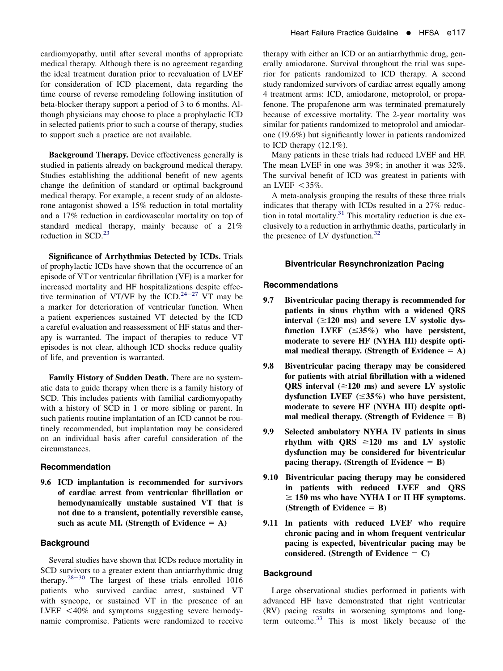cardiomyopathy, until after several months of appropriate medical therapy. Although there is no agreement regarding the ideal treatment duration prior to reevaluation of LVEF for consideration of ICD placement, data regarding the time course of reverse remodeling following institution of beta-blocker therapy support a period of 3 to 6 months. Although physicians may choose to place a prophylactic ICD in selected patients prior to such a course of therapy, studies to support such a practice are not available.

Background Therapy. Device effectiveness generally is studied in patients already on background medical therapy. Studies establishing the additional benefit of new agents change the definition of standard or optimal background medical therapy. For example, a recent study of an aldosterone antagonist showed a 15% reduction in total mortality and a 17% reduction in cardiovascular mortality on top of standard medical therapy, mainly because of a 21% reduction in SCD. $^{23}$  $^{23}$  $^{23}$ 

Significance of Arrhythmias Detected by ICDs. Trials of prophylactic ICDs have shown that the occurrence of an episode of VT or ventricular fibrillation (VF) is a marker for increased mortality and HF hospitalizations despite effec-tive termination of VT/VF by the ICD.<sup>24-[27](#page-5-0)</sup> VT may be a marker for deterioration of ventricular function. When a patient experiences sustained VT detected by the ICD a careful evaluation and reassessment of HF status and therapy is warranted. The impact of therapies to reduce VT episodes is not clear, although ICD shocks reduce quality of life, and prevention is warranted.

Family History of Sudden Death. There are no systematic data to guide therapy when there is a family history of SCD. This includes patients with familial cardiomyopathy with a history of SCD in 1 or more sibling or parent. In such patients routine implantation of an ICD cannot be routinely recommended, but implantation may be considered on an individual basis after careful consideration of the circumstances.

### Recommendation

9.6 ICD implantation is recommended for survivors of cardiac arrest from ventricular fibrillation or hemodynamically unstable sustained VT that is not due to a transient, potentially reversible cause, such as acute MI. (Strength of Evidence  $= A$ )

### **Background**

Several studies have shown that ICDs reduce mortality in SCD su[rvivor](#page-5-0)s to a greater extent than antiarrhythmic drug therapy. $28-30$  The largest of these trials enrolled 1016 patients who survived cardiac arrest, sustained VT with syncope, or sustained VT in the presence of an LVEF  $<$  40% and symptoms suggesting severe hemodynamic compromise. Patients were randomized to receive therapy with either an ICD or an antiarrhythmic drug, generally amiodarone. Survival throughout the trial was superior for patients randomized to ICD therapy. A second study randomized survivors of cardiac arrest equally among 4 treatment arms: ICD, amiodarone, metoprolol, or propafenone. The propafenone arm was terminated prematurely because of excessive mortality. The 2-year mortality was similar for patients randomized to metoprolol and amiodarone (19.6%) but significantly lower in patients randomized to ICD therapy  $(12.1\%)$ .

Many patients in these trials had reduced LVEF and HF. The mean LVEF in one was 39%; in another it was 32%. The survival benefit of ICD was greatest in patients with an LVEF  $<$  35%.

A meta-analysis grouping the results of these three trials indicates that therapy with ICDs resulted in a 27% reduction in total mortality. $31$  This mortality reduction is due exclusively to a reduction in arrhythmic deaths, particularly in the presence of LV dysfunction. $32$ 

#### Biventricular Resynchronization Pacing

#### Recommendations

- 9.7 Biventricular pacing therapy is recommended for patients in sinus rhythm with a widened QRS interval  $(\geq 120 \text{ ms})$  and severe LV systolic dysfunction LVEF  $(\leq 35\%)$  who have persistent, moderate to severe HF (NYHA III) despite optimal medical therapy. (Strength of Evidence  $= A$ )
- 9.8 Biventricular pacing therapy may be considered for patients with atrial fibrillation with a widened QRS interval  $(\geq 120 \text{ ms})$  and severe LV systolic dysfunction LVEF  $(\leq 35\%)$  who have persistent, moderate to severe HF (NYHA III) despite optimal medical therapy. (Strength of Evidence  $=$  B)
- 9.9 Selected ambulatory NYHA IV patients in sinus rhythm with QRS  $\geq$ 120 ms and LV systolic dysfunction may be considered for biventricular pacing therapy. (Strength of Evidence  $=$  B)
- 9.10 Biventricular pacing therapy may be considered in patients with reduced LVEF and QRS  $\geq$  150 ms who have NYHA I or II HF symptoms. (Strength of Evidence  $=$  B)
- 9.11 In patients with reduced LVEF who require chronic pacing and in whom frequent ventricular pacing is expected, biventricular pacing may be considered. (Strength of Evidence  $= C$ )

#### **Background**

Large observational studies performed in patients with advanced HF have demonstrated that right ventricular (RV) pacing results in worsening symptoms and longterm outcome.[33](#page-5-0) This is most likely because of the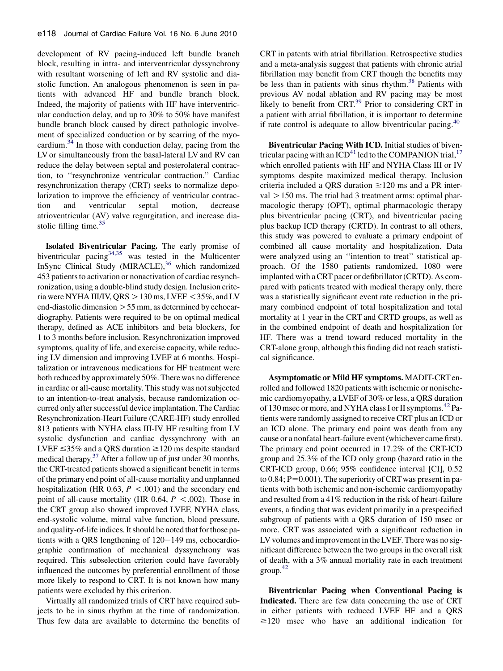development of RV pacing-induced left bundle branch block, resulting in intra- and interventricular dyssynchrony with resultant worsening of left and RV systolic and diastolic function. An analogous phenomenon is seen in patients with advanced HF and bundle branch block. Indeed, the majority of patients with HF have interventricular conduction delay, and up to 30% to 50% have manifest bundle branch block caused by direct pathologic involvement of specialized conduction or by scarring of the myocardium. $34$  In those with conduction delay, pacing from the LV or simultaneously from the basal-lateral LV and RV can reduce the delay between septal and posterolateral contraction, to ''resynchronize ventricular contraction.'' Cardiac resynchronization therapy (CRT) seeks to normalize depolarization to improve the efficiency of ventricular contraction and ventricular septal motion, decrease atrioventricular (AV) valve regurgitation, and increase diastolic filling time. $35$ 

Isolated Biventricular Pacing. The early promise of biventricular pacing<sup>[34,35](#page-5-0)</sup> was tested in the Multicenter InSync Clinical Study (MIRACLE),<sup>[36](#page-6-0)</sup> which randomized 453 patients to activation or nonactivation of cardiac resynchronization, using a double-blind study design. Inclusion criteria were NYHA III/IV, QRS  $> 130$  ms, LVEF  $<$  35%, and LV end-diastolic dimension  $>55$  mm, as determined by echocardiography. Patients were required to be on optimal medical therapy, defined as ACE inhibitors and beta blockers, for 1 to 3 months before inclusion. Resynchronization improved symptoms, quality of life, and exercise capacity, while reducing LV dimension and improving LVEF at 6 months. Hospitalization or intravenous medications for HF treatment were both reduced by approximately 50%. There was no difference in cardiac or all-cause mortality. This study was not subjected to an intention-to-treat analysis, because randomization occurred only after successful device implantation. The Cardiac Resynchronization-Heart Failure (CARE-HF) study enrolled 813 patients with NYHA class III-IV HF resulting from LV systolic dysfunction and cardiac dyssynchrony with an LVEF  $\leq$ 35% and a QRS duration  $\geq$ 120 ms despite standard medical therapy.<sup>37</sup> After a follow up of just under 30 months, the CRT-treated patients showed a significant benefit in terms of the primary end point of all-cause mortality and unplanned hospitalization (HR 0.63,  $P < .001$ ) and the secondary end point of all-cause mortality (HR 0.64,  $P < .002$ ). Those in the CRT group also showed improved LVEF, NYHA class, end-systolic volume, mitral valve function, blood pressure, and quality-of-life indices. It should be noted that for those patients with a QRS lengthening of  $120-149$  ms, echocardiographic confirmation of mechanical dyssynchrony was required. This subselection criterion could have favorably influenced the outcomes by preferential enrollment of those more likely to respond to CRT. It is not known how many patients were excluded by this criterion.

Virtually all randomized trials of CRT have required subjects to be in sinus rhythm at the time of randomization. Thus few data are available to determine the benefits of CRT in patents with atrial fibrillation. Retrospective studies and a meta-analysis suggest that patients with chronic atrial fibrillation may benefit from CRT though the benefits may be less than in patients with sinus rhythm.<sup>[38](#page-6-0)</sup> Patients with previous AV nodal ablation and RV pacing may be most likely to benefit from  $CRT$ <sup>[39](#page-6-0)</sup> Prior to considering CRT in a patient with atrial fibrillation, it is important to determine if rate control is adequate to allow biventricular pacing. $40$ 

Biventricular Pacing With ICD. Initial studies of biventricular pacing with an  $ICD<sup>41</sup>$  $ICD<sup>41</sup>$  $ICD<sup>41</sup>$  led to the COMPANION trial,  $17$ which enrolled patients with HF and NYHA Class III or IV symptoms despite maximized medical therapy. Inclusion criteria included a QRS duration  $\geq$ 120 ms and a PR interval  $> 150$  ms. The trial had 3 treatment arms: optimal pharmacologic therapy (OPT), optimal pharmacologic therapy plus biventricular pacing (CRT), and biventricular pacing plus backup ICD therapy (CRTD). In contrast to all others, this study was powered to evaluate a primary endpoint of combined all cause mortality and hospitalization. Data were analyzed using an ''intention to treat'' statistical approach. Of the 1580 patients randomized, 1080 were implanted with a CRT pacer or defibrillator (CRTD). As compared with patients treated with medical therapy only, there was a statistically significant event rate reduction in the primary combined endpoint of total hospitalization and total mortality at 1 year in the CRT and CRTD groups, as well as in the combined endpoint of death and hospitalization for HF. There was a trend toward reduced mortality in the CRT-alone group, although this finding did not reach statistical significance.

Asymptomatic or Mild HF symptoms. MADIT-CRT enrolled and followed 1820 patients with ischemic or nonischemic cardiomyopathy, a LVEF of 30% or less, a QRS duration of 130 msec or more, and NYHA class I or II symptoms.<sup>[42](#page-6-0)</sup> Patients were randomly assigned to receive CRT plus an ICD or an ICD alone. The primary end point was death from any cause or a nonfatal heart-failure event (whichever came first). The primary end point occurred in 17.2% of the CRT-ICD group and 25.3% of the ICD only group (hazard ratio in the CRT-ICD group, 0.66; 95% confidence interval [CI], 0.52 to  $0.84$ ;  $P=0.001$ ). The superiority of CRT was present in patients with both ischemic and non-ischemic cardiomyopathy and resulted from a 41% reduction in the risk of heart-failure events, a finding that was evident primarily in a prespecified subgroup of patients with a QRS duration of 150 msec or more. CRT was associated with a significant reduction in LV volumes and improvement in the LVEF. There was no significant difference between the two groups in the overall risk of death, with a 3% annual mortality rate in each treatment  $\text{group}^{\,42}$  $\text{group}^{\,42}$  $\text{group}^{\,42}$ 

Biventricular Pacing when Conventional Pacing is Indicated. There are few data concerning the use of CRT in either patients with reduced LVEF HF and a QRS  $\geq$ 120 msec who have an additional indication for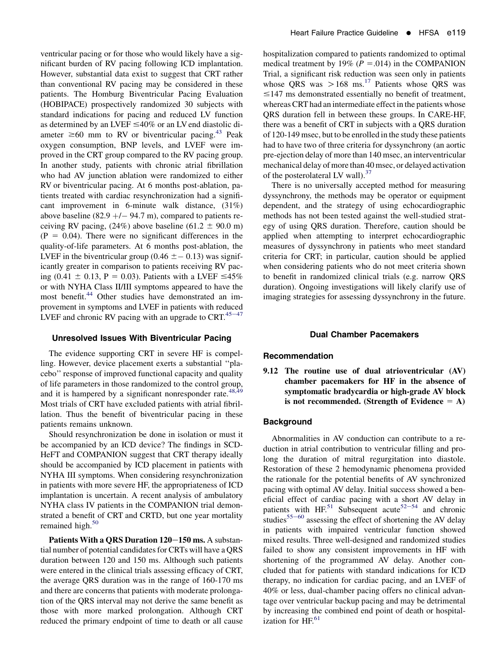ventricular pacing or for those who would likely have a significant burden of RV pacing following ICD implantation. However, substantial data exist to suggest that CRT rather than conventional RV pacing may be considered in these patients. The Homburg Biventricular Pacing Evaluation (HOBIPACE) prospectively randomized 30 subjects with standard indications for pacing and reduced LV function as determined by an LVEF  $\leq$ 40% or an LV end diastolic diameter  $\geq 60$  mm to RV or biventricular pacing.<sup>[43](#page-6-0)</sup> Peak oxygen consumption, BNP levels, and LVEF were improved in the CRT group compared to the RV pacing group. In another study, patients with chronic atrial fibrillation who had AV junction ablation were randomized to either RV or biventricular pacing. At 6 months post-ablation, patients treated with cardiac resynchronization had a significant improvement in 6-minute walk distance, (31%) above baseline (82.9  $+/-$  94.7 m), compared to patients receiving RV pacing, (24%) above baseline (61.2  $\pm$  90.0 m)  $(P = 0.04)$ . There were no significant differences in the quality-of-life parameters. At 6 months post-ablation, the LVEF in the biventricular group (0.46  $\pm$  – 0.13) was significantly greater in comparison to patients receiving RV pacing (0.41  $\pm$  0.13, P = 0.03). Patients with a LVEF  $\leq 45\%$ or with NYHA Class II/III symptoms appeared to have the most benefit.<sup>[44](#page-6-0)</sup> Other studies have demonstrated an improvement in symptoms and LVEF in patients with reduced LVEF and chronic RV pacing with an upgrade to  $CRT$ .<sup>[45](#page-6-0)-47</sup>

## Unresolved Issues With Biventricular Pacing

The evidence supporting CRT in severe HF is compelling. However, device placement exerts a substantial ''placebo'' response of improved functional capacity and quality of life parameters in those randomized to the control group, and it is hampered by a significant nonresponder rate. $48,49$ Most trials of CRT have excluded patients with atrial fibrillation. Thus the benefit of biventricular pacing in these patients remains unknown.

Should resynchronization be done in isolation or must it be accompanied by an ICD device? The findings in SCD-HeFT and COMPANION suggest that CRT therapy ideally should be accompanied by ICD placement in patients with NYHA III symptoms. When considering resynchronization in patients with more severe HF, the appropriateness of ICD implantation is uncertain. A recent analysis of ambulatory NYHA class IV patients in the COMPANION trial demonstrated a benefit of CRT and CRTD, but one year mortality remained high. $50$ 

Patients With a QRS Duration  $120-150$  ms. A substantial number of potential candidates for CRTs will have a QRS duration between 120 and 150 ms. Although such patients were entered in the clinical trials assessing efficacy of CRT, the average QRS duration was in the range of 160-170 ms and there are concerns that patients with moderate prolongation of the QRS interval may not derive the same benefit as those with more marked prolongation. Although CRT reduced the primary endpoint of time to death or all cause hospitalization compared to patients randomized to optimal medical treatment by 19% ( $P = .014$ ) in the COMPANION Trial, a significant risk reduction was seen only in patients whose QRS was  $>168$  ms.<sup>[17](#page-5-0)</sup> Patients whose QRS was  $\leq$ 147 ms demonstrated essentially no benefit of treatment, whereas CRT had an intermediate effect in the patients whose QRS duration fell in between these groups. In CARE-HF, there was a benefit of CRT in subjects with a QRS duration of 120-149 msec, but to be enrolled in the study these patients had to have two of three criteria for dyssynchrony (an aortic pre-ejection delay of more than 140 msec, an interventricular mechanical delay of more than 40 msec, or delayed activation of the posterolateral LV wall).<sup>[37](#page-6-0)</sup>

There is no universally accepted method for measuring dyssynchrony, the methods may be operator or equipment dependent, and the strategy of using echocardiographic methods has not been tested against the well-studied strategy of using QRS duration. Therefore, caution should be applied when attempting to interpret echocardiographic measures of dyssynchrony in patients who meet standard criteria for CRT; in particular, caution should be applied when considering patients who do not meet criteria shown to benefit in randomized clinical trials (e.g. narrow QRS duration). Ongoing investigations will likely clarify use of imaging strategies for assessing dyssynchrony in the future.

### Dual Chamber Pacemakers

### Recommendation

9.12 The routine use of dual atrioventricular (AV) chamber pacemakers for HF in the absence of symptomatic bradycardia or high-grade AV block is not recommended. (Strength of Evidence  $= A$ )

## **Background**

Abnormalities in AV conduction can contribute to a reduction in atrial contribution to ventricular filling and prolong the duration of mitral regurgitation into diastole. Restoration of these 2 hemodynamic phenomena provided the rationale for the potential benefits of AV synchronized pacing with optimal AV delay. Initial success showed a beneficial effect of cardiac pacing with a short AV delay in patients with  $HF^{51}$  $HF^{51}$  $HF^{51}$  Subsequent acute<sup>[52](#page-6-0)-54</sup> and chronic studies<sup>55-[60](#page-6-0)</sup> assessing the effect of shortening the AV delay in patients with impaired ventricular function showed mixed results. Three well-designed and randomized studies failed to show any consistent improvements in HF with shortening of the programmed AV delay. Another concluded that for patients with standard indications for ICD therapy, no indication for cardiac pacing, and an LVEF of 40% or less, dual-chamber pacing offers no clinical advantage over ventricular backup pacing and may be detrimental by increasing the combined end point of death or hospitalization for  $HF<sup>61</sup>$  $HF<sup>61</sup>$  $HF<sup>61</sup>$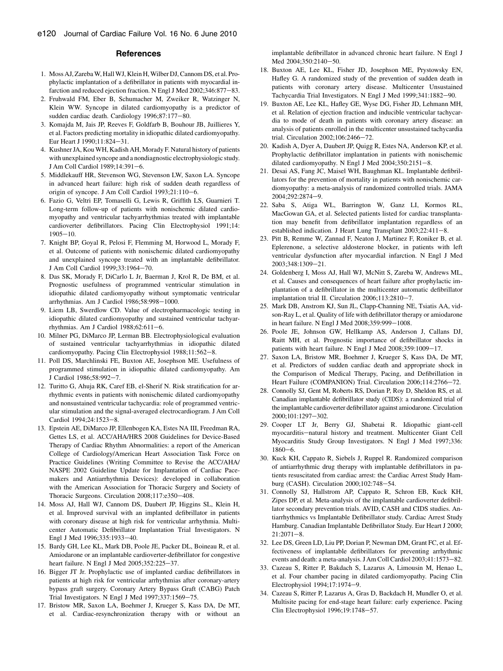#### **References**

- <span id="page-5-0"></span>1. Moss AJ, Zareba W, Hall WJ, Klein H, Wilber DJ, Cannom DS, et al. Prophylactic implantation of a defibrillator in patients with myocardial infarction and reduced ejection fraction. N Engl J Med  $2002;346:877-83$ .
- 2. Fruhwald FM, Eber B, Schumacher M, Zweiker R, Watzinger N, Klein WW. Syncope in dilated cardiomyopathy is a predictor of sudden cardiac death. Cardiology 1996;87:177-80.
- 3. Komajda M, Jais JP, Reeves F, Goldfarb B, Bouhour JB, Juillieres Y, et al. Factors predicting mortality in idiopathic dilated cardiomyopathy. Eur Heart J 1990;11:824-31.
- 4. Kushner JA, Kou WH, Kadish AH, Morady F. Natural history of patients with unexplained syncope and a nondiagnostic electrophysiologic study. J Am Coll Cardiol 1989;14:391-6.
- 5. Middlekauff HR, Stevenson WG, Stevenson LW, Saxon LA. Syncope in advanced heart failure: high risk of sudden death regardless of origin of syncope. J Am Coll Cardiol 1993;21:110-6.
- 6. Fazio G, Veltri EP, Tomaselli G, Lewis R, Griffith LS, Guarnieri T. Long-term follow-up of patients with nonischemic dilated cardiomyopathy and ventricular tachyarrhythmias treated with implantable cardioverter defibrillators. Pacing Clin Electrophysiol 1991;14:  $1905 - 10.$
- 7. Knight BP, Goyal R, Pelosi F, Flemming M, Horwood L, Morady F, et al. Outcome of patients with nonischemic dilated cardiomyopathy and unexplained syncope treated with an implantable defibrillator. J Am Coll Cardiol 1999;33:1964-70.
- 8. Das SK, Morady F, DiCarlo L Jr, Baerman J, Krol R, De BM, et al. Prognostic usefulness of programmed ventricular stimulation in idiopathic dilated cardiomyopathy without symptomatic ventricular arrhythmias. Am J Cardiol 1986;58:998-1000.
- 9. Liem LB, Swerdlow CD. Value of electropharmacologic testing in idiopathic dilated cardiomyopathy and sustained ventricular tachyarrhythmias. Am J Cardiol 1988;62:611-6.
- 10. Milner PG, DiMarco JP, Lerman BB. Electrophysiological evaluation of sustained ventricular tachyarrhythmias in idiopathic dilated cardiomyopathy. Pacing Clin Electrophysiol 1988;11:562-8.
- 11. Poll DS, Marchlinski FE, Buxton AE, Josephson ME. Usefulness of programmed stimulation in idiopathic dilated cardiomyopathy. Am J Cardiol 1986;58:992-7.
- 12. Turitto G, Ahuja RK, Caref EB, el-Sherif N. Risk stratification for arrhythmic events in patients with nonischemic dilated cardiomyopathy and nonsustained ventricular tachycardia: role of programmed ventricular stimulation and the signal-averaged electrocardiogram. J Am Coll Cardiol 1994;24:1523-8.
- 13. Epstein AE, DiMarco JP, Ellenbogen KA, Estes NA III, Freedman RA, Gettes LS, et al. ACC/AHA/HRS 2008 Guidelines for Device-Based Therapy of Cardiac Rhythm Abnormalities: a report of the American College of Cardiology/American Heart Association Task Force on Practice Guidelines (Writing Committee to Revise the ACC/AHA/ NASPE 2002 Guideline Update for Implantation of Cardiac Pacemakers and Antiarrhythmia Devices): developed in collaboration with the American Association for Thoracic Surgery and Society of Thoracic Surgeons. Circulation 2008;117:e350-408.
- 14. Moss AJ, Hall WJ, Cannom DS, Daubert JP, Higgins SL, Klein H, et al. Improved survival with an implanted defibrillator in patients with coronary disease at high risk for ventricular arrhythmia. Multicenter Automatic Defibrillator Implantation Trial Investigators. N Engl J Med 1996;335:1933-40.
- 15. Bardy GH, Lee KL, Mark DB, Poole JE, Packer DL, Boineau R, et al. Amiodarone or an implantable cardioverter-defibrillator for congestive heart failure. N Engl J Med 2005;352:225-37.
- 16. Bigger JT Jr. Prophylactic use of implanted cardiac defibrillators in patients at high risk for ventricular arrhythmias after coronary-artery bypass graft surgery. Coronary Artery Bypass Graft (CABG) Patch Trial Investigators. N Engl J Med  $1997;337:1569-75$ .
- 17. Bristow MR, Saxon LA, Boehmer J, Krueger S, Kass DA, De MT, et al. Cardiac-resynchronization therapy with or without an

implantable defibrillator in advanced chronic heart failure. N Engl J Med 2004;350:2140-50.

- 18. Buxton AE, Lee KL, Fisher JD, Josephson ME, Prystowsky EN, Hafley G. A randomized study of the prevention of sudden death in patients with coronary artery disease. Multicenter Unsustained Tachycardia Trial Investigators. N Engl J Med 1999;341:1882-90.
- 19. Buxton AE, Lee KL, Hafley GE, Wyse DG, Fisher JD, Lehmann MH, et al. Relation of ejection fraction and inducible ventricular tachycardia to mode of death in patients with coronary artery disease: an analysis of patients enrolled in the multicenter unsustained tachycardia trial. Circulation 2002:106:2466-72.
- 20. Kadish A, Dyer A, Daubert JP, Quigg R, Estes NA, Anderson KP, et al. Prophylactic defibrillator implantation in patients with nonischemic dilated cardiomyopathy. N Engl J Med  $2004;350:2151-8$ .
- 21. Desai AS, Fang JC, Maisel WH, Baughman KL. Implantable defibrillators for the prevention of mortality in patients with nonischemic cardiomyopathy: a meta-analysis of randomized controlled trials. JAMA 2004;292:2874-9.
- 22. Saba S, Atiga WL, Barrington W, Ganz LI, Kormos RL, MacGowan GA, et al. Selected patients listed for cardiac transplantation may benefit from defibrillator implantation regardless of an established indication. J Heart Lung Transplant  $2003;22:411-8$ .
- 23. Pitt B, Remme W, Zannad F, Neaton J, Martinez F, Roniker B, et al. Eplerenone, a selective aldosterone blocker, in patients with left ventricular dysfunction after myocardial infarction. N Engl J Med 2003;348:1309-21.
- 24. Goldenberg I, Moss AJ, Hall WJ, McNitt S, Zareba W, Andrews ML, et al. Causes and consequences of heart failure after prophylactic implantation of a defibrillator in the multicenter automatic defibrillator implantation trial II. Circulation  $2006;113:2810-7$ .
- 25. Mark DB, Anstrom KJ, Sun JL, Clapp-Channing NE, Tsiatis AA, vidson-Ray L, et al. Quality of life with defibrillator therapy or amiodarone in heart failure. N Engl J Med  $2008;359:999-1008$ .
- 26. Poole JE, Johnson GW, Hellkamp AS, Anderson J, Callans DJ, Raitt MH, et al. Prognostic importance of defibrillator shocks in patients with heart failure. N Engl J Med 2008;359:1009-17.
- 27. Saxon LA, Bristow MR, Boehmer J, Krueger S, Kass DA, De MT, et al. Predictors of sudden cardiac death and appropriate shock in the Comparison of Medical Therapy, Pacing, and Defibrillation in Heart Failure (COMPANION) Trial. Circulation 2006;114:2766-72.
- 28. Connolly SJ, Gent M, Roberts RS, Dorian P, Roy D, Sheldon RS, et al. Canadian implantable defibrillator study (CIDS): a randomized trial of the implantable cardioverter defibrillator against amiodarone. Circulation 2000;101:1297-302.
- 29. Cooper LT Jr, Berry GJ, Shabetai R. Idiopathic giant-cell myocarditis-natural history and treatment. Multicenter Giant Cell Myocarditis Study Group Investigators. N Engl J Med 1997;336:  $1860 - 6$ .
- 30. Kuck KH, Cappato R, Siebels J, Ruppel R. Randomized comparison of antiarrhythmic drug therapy with implantable defibrillators in patients resuscitated from cardiac arrest: the Cardiac Arrest Study Hamburg (CASH). Circulation 2000;102:748-54.
- 31. Connolly SJ, Hallstrom AP, Cappato R, Schron EB, Kuck KH, Zipes DP, et al. Meta-analysis of the implantable cardioverter defibrillator secondary prevention trials. AVID, CASH and CIDS studies. Antiarrhythmics vs Implantable Defibrillator study. Cardiac Arrest Study Hamburg. Canadian Implantable Defibrillator Study. Eur Heart J 2000;  $21:2071 - 8$ .
- 32. Lee DS, Green LD, Liu PP, Dorian P, Newman DM, Grant FC, et al. Effectiveness of implantable defibrillators for preventing arrhythmic events and death: a meta-analysis. J Am Coll Cardiol 2003;41:1573-82.
- 33. Cazeau S, Ritter P, Bakdach S, Lazarus A, Limousin M, Henao L, et al. Four chamber pacing in dilated cardiomyopathy. Pacing Clin Electrophysiol 1994;17:1974-9.
- 34. Cazeau S, Ritter P, Lazarus A, Gras D, Backdach H, Mundler O, et al. Multisite pacing for end-stage heart failure: early experience. Pacing Clin Electrophysiol 1996;19:1748-57.